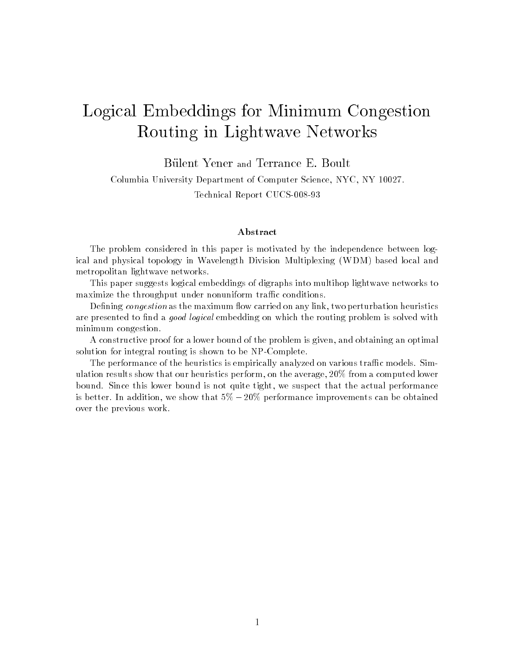# Logical Embeddings for Minimum CongestionRouting in Lightwave Networks

B-ulent Yener and Terrance E Boult

Columbia University Department of Computer Science- NYC- NY

Technical Report Cuc State Cuc

### Abstract

The problem considered in this paper is motivated by the independence between log ical and physical topology in Wavelength Division Multiplexing WDM
 based local and metropolitan lightwave networks

This paper suggests logical embeddings of digraphs into multihop lightwave networks to maximize the throughput under nonuniform traffic conditions.

perturbation as the maximum of contracted on any link-time on any linkare presented to find a *good logical* embedding on which the routing problem is solved with minimum congestion.

A constructive proof for a lower bound of the problem is given- and obtaining an optimal solution for integral routing is shown to be NP-Complete.

The performance of the heuristics is empirically analyzed on various traffic models. Simulation results show that our heuristics performance performance performance performance in the averagebound Since this lower bound is not quite tight- we suspect that the actual performance is better, in addition, we show that  $\sigma/\psi$  - 20% performance improvements can be obtained  $\tau$ over the previous work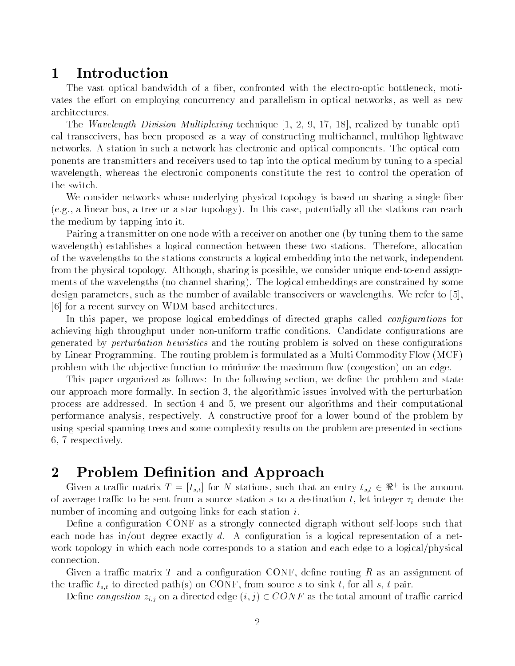#### Introduction 1

The vast optical bandwidth of a -ber confronted with the electrooptic bottleneck moti vates the effort on employing concurrency and parallelism in optical networks, as well as new architectures

The Wavelength Division Multiplexing technique  realized by tunable opti cal transceivers, has been proposed as a way of constructing multichannel, multihop lightwave networks A station in such a network has electronic and optical components The optical com ponents are transmitters and receivers used to tap into the optical medium by tuning to a special wavelength, whereas the electronic components constitute the rest to control the operation of the switch

we consider networks whose whose  $\mathcal{L}_{\mathcal{A}}$  physical topology is based on sharing a single -(e.g., a linear bus, a tree or a star topology). In this case, potentially all the stations can reach the medium by tapping into it

Pairing a transmitter on one node with a receiver on another one (by tuning them to the same wavelength) establishes a logical connection between these two stations. Therefore, allocation of the wavelengths to the stations constructs a logical embedding into the network independent from the physical topology. Although, sharing is possible, we consider unique end-to-end assignments of the wavelengths (no channel sharing). The logical embeddings are constrained by some design parameters, such as the number of available transceivers or wavelengths. We refer to [5], [6] for a recent survey on WDM based architectures.

In this paper we propose logical embeddings of directed graphs called con-gurations for achieving high throughput under nonuniform trac conditions Candidate con-gurations are generated by perturbation heuristics and the routing problem is solved on the routing definitions. by Linear Programming. The routing problem is formulated as a Multi Commodity Flow (MCF) problem with the objective function to minimize the maximum flow (congestion) on an edge.

This paper organized as follows In the following section we de-ne the problem and state our approach more formally. In section 3, the algorithmic issues involved with the perturbation process are addressed. In section 4 and 5, we present our algorithms and their computational performance analysis, respectively. A constructive proof for a lower bound of the problem by using special spanning trees and some complexity results on the problem are presented in sections respectively

#### Problem Definition and Approach  $\bf{2}$

Given a traffic matrix  $T = [t_{s,t}]$  for N stations, such that an entry  $t_{s,t} \in \Re^+$  is the amount of average trac to be sent from a source station s to a destination t let integer -<sup>i</sup> denote the number of incoming and outgoing links for each station  $i$ .

De-ne a con-guration CONF as a strongly connected digraph without selfloops such that each node has inout degree exactly d A con-guration is a logical representation of a net work topology in which each node corresponds to a station and each edge to a logical/physical connection

given a traction through a conthe trace trace to directed path of the trace sink the source s to sink the source sink that  $\mathbf{r}$ 

Define congestion  $z_{i,j}$  on a directed edge  $(i,j) \in COMP$  as the total amount of traffic carried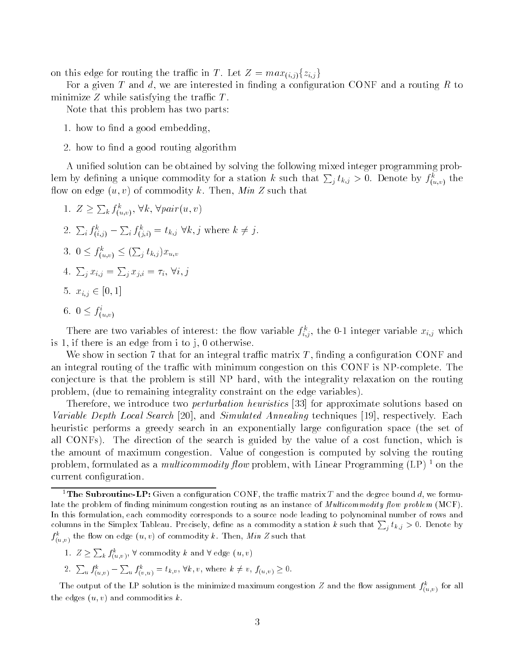on this edge for routing the traffic in T. Let  $Z = max_{(i,j)} \{z_{i,j}\}$ 

For a given T and d we are interested in  $\mathcal{L}$ minimize  $Z$  while satisfying the traffic  $T$ .

Note that this problem has two parts

- how to -nd a good embedding
- how to nd a good routing algorithm and algorithm algorithm and algorithm algorithm algorithm and algorithm a

A uni-ed solution can be obtained by solving the following mixed integer programming prob lem by defining a unique commodity for a station k such that  $\sum_j t_{k,j} > 0$ . Denote by  $f_{(u,v)}^{\kappa}$  the flow on edge  $(u, v)$  of commodity k. Then, Min Z such that

- 1.  $Z \geq \sum_{k} f_{(u,v)}^{k}, \forall k, \forall pair(u,v)$ - $\cdots$  $\sim$   $\sim$ 2.  $\sum_i f_{(i,j)}^k - \sum_i f_{(j,i)}^k = t_{k,j} \ \forall k, j \text{ where } k \neq j.$ 3.  $0 \leq f_{(u,v)}^{\kappa} \leq (\sum_j t_{k,j}) x_{u,v}$ 4.  $\sum_{i} x_{i,j} = \sum_{i} x_{j,i} = \tau_i, \forall i, j$ 5.  $x_{i,j} \in [0,1]$
- 6.  $0 \leq f^i_{(u,v)}$ - $\cdots$  $\sim$   $\sim$

There are two variables of interest: the now variable  $f_{i,j}^*$ , the 0-1 integer variable  $x_{i,j}$  which is 1, if there is an edge from  $i$  to  $j$ , 0 otherwise.

 $\mathcal{N}$  in section  $\mathcal{N}$ an integral routing of the traffic with minimum congestion on this CONF is NP-complete. The conjecture is that the problem is still NP hard, with the integrality relaxation on the routing problem, (due to remaining integrality constraint on the edge variables).

Therefore, we introduce two *perturbation heuristics* [33] for approximate solutions based on Variable Depth Local Search [20], and Simulated Annealing techniques [19], respectively. Each heuristic performs a greedy search in an exponentially large con-guration space 
the set of all CONFs). The direction of the search is guided by the value of a cost function, which is the amount of maximum congestion Value of congestion is computed by solving the routing problem, formulated as a *multicommodity flow* problem, with Linear Programming  $(LP)^1$  on the current con-current con-current con-current con-current con-current con-current con-

- 1.  $Z \geq \sum_{k} f_{(u,v)}^{k}$ ,  $\forall$  commodity k and  $\forall$  edge  $(u, v)$
- 2.  $\sum_{u} f_{(u,v)}^{k} \sum_{u} f_{(v,u)}^{k} = t_{k,v}, \forall k, v$ , where  $k \neq v, f_{(u,v)} \geq 0$ . - $-$ - $-$

The output of the LP solution is the minimized maximum congestion Z and the now assignment  $f^{\{u,v\}}_{(u,v)}$  for all the edges  $(u, v)$  and commodities k.

The Subroutine-LP; Given a configuration CONF, the trainc matrix T and the degree bound  $a$ , we formu- $_{\rm 100C}$  and problem of minimum congestion routing as an instance of Multicommodity from problem (MOF). In this formulation, each commodity corresponds to a source node leading to polynominal number of rows and columns in the Simplex Tableau. Precisely, define as a commodity a station  $k$  such that  $\sum_i t_{k,j} > 0$ . Denote by  $f^{\left(u,v\right)}_{\left(u,v\right)}$  the now on edge  $\left(u,v\right)$  of commodity  $\kappa$  . Then,  $\textit{min} \; z$  such that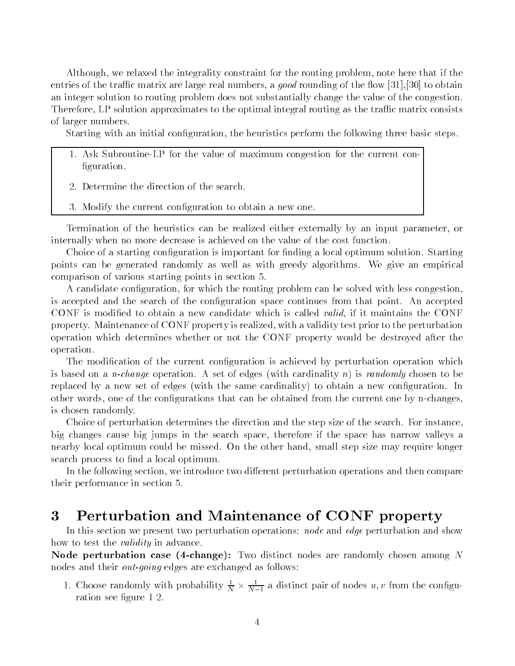Although, we relaxed the integrality constraint for the routing problem, note here that if the entries of the traffic matrix are large real numbers, a good rounding of the flow  $[31], [30]$  to obtain an integer solution to routing problem does not substantially change the value of the congestion Therefore, LP solution approximates to the optimal integral routing as the traffic matrix consists of larger numbers

Starting with an initial con-guration the heuristics perform the following three basic steps

- Ask SubroutineLP for the value of maximum congestion for the current con -guration
- 2. Determine the direction of the search.
- Modify the current con-guration to obtain a new one

Termination of the heuristics can be realized either externally by an input parameter or internally when no more decrease is achieved on the value of the cost function

Choice of a starting con-guration is important for -nding a local optimum solution Starting points can be generated randomly as well as with greedy algorithms We give an empirical comparison of various starting points in section

 $\mathcal{L}$ is accepted and the search of the con-guration space continues from that point An accepted CONF is modi-ed to obtain a new candidate which is called valid if it maintains the CONF property Maintenance of CONF property is realized with a validity test prior to the perturbation operation which determines whether or not the CONF property would be destroyed after the operation

The modi-cation of the current con-guration is achieved by perturbation operation which is based on a *n-change* operation. A set of edges (with cardinality n) is randomly chosen to be replaced by a new set of edges 
with the same cardinality to obtain a new con-guration In other words one of the conis chosen randomly

Choice of perturbation determines the direction and the step size of the search. For instance, big changes cause big jumps in the search space therefore if the space has narrow valleys a nearby local optimum could be missed. On the other hand, small step size may require longer search process to maning to a local optimum and

In the following section, we introduce two different perturbation operations and then compare their performance in section

#### 3 Perturbation and Maintenance of CONF property

In this section we present two perturbation operations: node and edge perturbation and show how to test the *validity* in advance.

Node perturbation case -change Two distinct nodes are randomly chosen among N nodes and their *out-going* edges are exchanged as follows:

1. Choose randomly with probability  $\frac{1}{N} \times \frac{1}{N-1}$  a distinct pair of nodes  $u, v$  from the configuration see - gure - gure - gure - gure - gure - gure - gure - gure - gure - gure - gure - gure - gure - gure -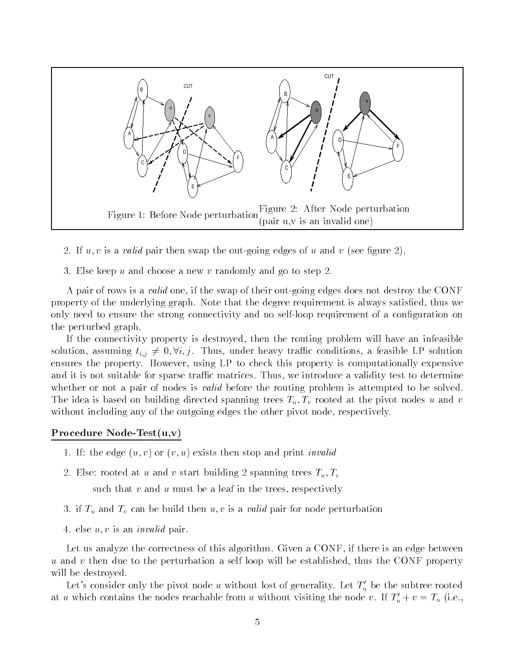

- If we say the outgoing entry the outgoing edge of uncertainty  $\mathcal{U}(\mathbf{X})$  and v and v and v and v and v and v and v and v and v and v and v and v and v and v and v and v and v and v and v and v and v and v and v and v
- 3. Else keep  $u$  and choose a new  $v$  randomly and go to step 2.

A pair of rows is a *valid* one, if the swap of their out-going edges does not destroy the CONF property of the underlying graph Note that the degree requirement is always satis-ed thus we only need to ensure the strong connectivity and no selfloop requirement of a con-guration on the perturbed graph

If the connectivity property is destroyed, then the routing problem will have an infeasible solution, assuming  $t_{i,j} \neq 0, \forall i,j$ . Thus, under heavy traffic conditions, a feasible LP solution ensures the property. However, using LP to check this property is computationally expensive and it is not suitable for sparse traffic matrices. Thus, we introduce a validity test to determine whether or not a pair of nodes is *valid* before the routing problem is attempted to be solved. The idea is based on building directed spanning trees  $T_u, T_v$  rooted at the pivot nodes u and v without including any of the outgoing edges the other pivot node, respectively.

#### Procedure NodeTest-uv

- 1. If: the edge  $(u, v)$  or  $(v, u)$  exists then stop and print *invalid*
- 2. Else: rooted at u and v start building 2 spanning trees  $T_u, T_v$ such that  $v$  and  $u$  must be a leaf in the trees, respectively
- 3. if  $T_u$  and  $T_v$  can be build then  $u, v$  is a valid pair for node perturbation
- 4. else  $u, v$  is an *invalid* pair.

Let us analyze the correctness of this algorithm. Given a CONF, if there is an edge between u and v then due to the perturbation a self loop will be established, thus the CONF property will be destroyed.

Let's consider only the pivot node u without lost of generality. Let  $T'_u$  be the subtree rooted at u which contains the nodes reachable from u without visiting the node v. If  $T_u' + v = T_u$  (i.e.,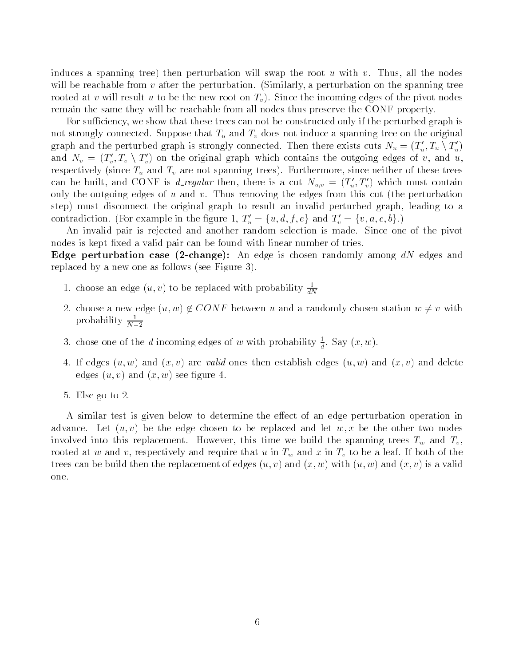induces a spanning tree) then perturbation will swap the root u with v. Thus, all the nodes will be reachable from  $v$  after the perturbation. (Similarly, a perturbation on the spanning tree rooted at v will result u to be the new root on  $T_v$ ). Since the incoming edges of the pivot nodes remain the same they will be reachable from all nodes thus preserve the CONF property

For sufficiency, we show that these trees can not be constructed only if the perturbed graph is not strongly connected. Suppose that  $T_u$  and  $T_v$  does not induce a spanning tree on the original graph and the perturbed graph is strongly connected. Then there exists cuts  $N_u = (T'_u, T_u \setminus T'_u)$ and  $N_v = (T'_v, T_v \setminus T'_v)$  on the original graph which contains the outgoing edges of v, and u, respectively (since  $T_u$  and  $T_v$  are not spanning trees). Furthermore, since neither of these trees can be built, and CONF is *d\_regular* then, there is a cut  $N_{u,v} = (T'_u, T'_v)$  which must contain only the outgoing edges of  $u$  and  $v$ . Thus removing the edges from this cut (the perturbation step) must disconnect the original graph to result an invalid perturbed graph, leading to a contradiction. (For example in the figure 1,  $T'_u = \{u, d, f, e\}$  and  $T'_v = \{v, a, c, b\}$ .)

An invalid pair is rejected and another random selection is made Since one of the pivot nodes is kept - xed a valid pair can be found with linear number of tries and tries of tries and tries of tries

 $\blacksquare$  is  $\blacksquare$  . The change is constant  $\blacksquare$  is chosen randomly and  $\blacksquare$  and  $\blacksquare$  and  $\blacksquare$ replaced by a new one as follows (see Figure 3).

- 1. choose an edge  $(u, v)$  to be replaced with probability  $\frac{1}{2M}$
- 2. choose a new edge  $(u, w) \notin CONF$  between u and a randomly chosen station  $w \neq v$  with probability  $\frac{1}{N-2}$

distribution and a series of the contract of the contract of the contract of the contract of the contract of the contract of the contract of the contract of the contract of the contract of the contract of the contract of t

 $\overline{\phantom{a}}$ 

- 3. Chose one of the *d* incoming edges of w with probability  $\frac{1}{2}$ . Say  $(x, w)$ .
- 4. If edges  $(u, w)$  and  $(x, v)$  are valid ones then establish edges  $(u, w)$  and  $(x, v)$  and delete edges and the sees of the sees and the sees and the sees of the sees and the sees and the sees and the sees and
- 5. Else go to 2

A similar test is given below to determine the effect of an edge perturbation operation in advance. Let  $(u, v)$  be the edge chosen to be replaced and let  $w, x$  be the other two nodes involved into this replacement. However, this time we build the spanning trees  $T_w$  and  $T_v$ , rooted at w and v, respectively and require that u in  $T_w$  and x in  $T_v$  to be a leaf. If both of the trees can be build then the replacement of edges  $(u, v)$  and  $(x, w)$  with  $(u, w)$  and  $(x, v)$  is a valid one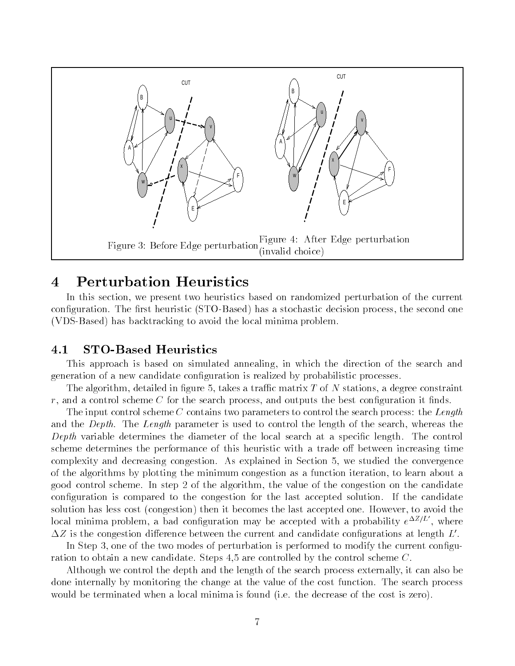

#### Perturbation Heuristics  $\boldsymbol{4}$

In this section, we present two heuristics based on randomized perturbation of the current con-guration The -rst heuristic 
STOBased has a stochastic decision process the second one  $(VDS-Based)$  has backtracking to avoid the local minima problem.

#### 4.1 **STO-Based Heuristics**

This approach is based on simulated annealing, in which the direction of the search and  $\alpha$  new candidate con-ration is realized by probability  $\alpha$  is realized by probability probability  $\alpha$ 

The algorithm detailed in  $\mathcal{M}$  of  $\mathcal{M}$  stations a trace constraint  $\mathcal{M}$  stations a degree constraint  $\mathcal{M}$ r and a control scheme C for the search process and outputs the best con-  $\alpha$  and  $\alpha$ 

The input control scheme C contains two parameters to control the search process: the Length and the Depth. The Length parameter is used to control the length of the search, whereas the Depth variable determines the diameter of the local search at a speci-c length The control scheme determines the performance of this heuristic with a trade off between increasing time complexity and decreasing congestion. As explained in Section 5, we studied the convergence of the algorithms by plotting the minimum congestion as a function iteration to learn about a good control scheme. In step 2 of the algorithm, the value of the congestion on the candidate con-guration is compared to the congestion for the last accepted solution If the candidate solution has less cost (congestion) then it becomes the last accepted one. However, to avoid the local minima problem, a bad configuration may be accepted with a probability  $e^{\Delta z/L}$ , where  $\Delta Z$  is the congestion difference between the current and candidate configurations at length L'.

In Step one of the two modes of perturbation is performed to modify the current con-gu ration to obtain a new candidate. Steps  $4.5$  are controlled by the control scheme C.

Although we control the depth and the length of the search process externally it can also be done internally by monitoring the change at the value of the cost function. The search process would be terminated when a local minima is found (i.e. the decrease of the cost is zero).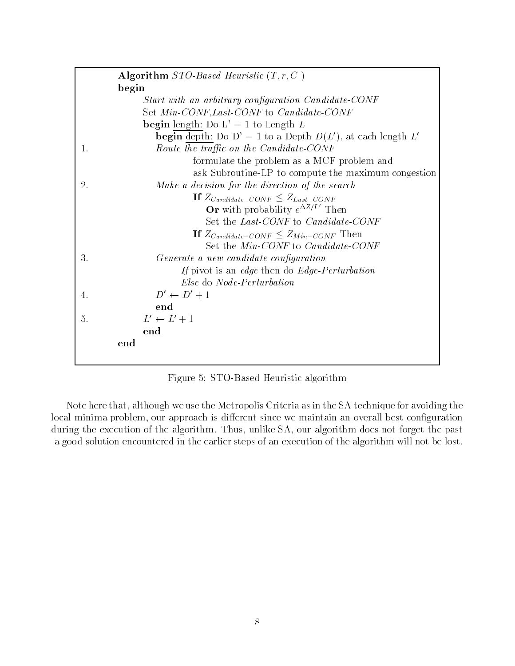|    | Algorithm $STO$ -Based Heuristic $(T, r, C)$                          |
|----|-----------------------------------------------------------------------|
|    | begin                                                                 |
|    | Start with an arbitrary configuration Candidate-CONF                  |
|    | Set Min-CONF, Last-CONF to Candidate-CONF                             |
|    | <b>begin</b> length: Do L' = 1 to Length L                            |
|    | <b>begin</b> depth: Do D' = 1 to a Depth $D(L')$ , at each length L'  |
| 1. | Route the traffic on the Candidate-CONF                               |
|    | formulate the problem as a MCF problem and                            |
|    | ask Subroutine-LP to compute the maximum congestion                   |
| 2. | Make a decision for the direction of the search                       |
|    | If $Z_{Candide-CONF} \leq Z_{Last-CONF}$                              |
|    | <b>Or</b> with probability $e^{\Delta Z/L'}$ Then                     |
|    | Set the Last-CONF to Candidate-CONF                                   |
|    | <b>If</b> $Z_{C\text{ }and\text{ }idate-CONF} \leq Z_{Min-CONF}$ Then |
|    | Set the Min-CONF to Candidate-CONF                                    |
| 3. | Generate a new candidate configuration                                |
|    | If pivot is an edge then do Edge-Perturbation                         |
|    | <i>Else</i> do <i>Node-Perturbation</i>                               |
| 4. | $D' \leftarrow D' + 1$                                                |
|    | end                                                                   |
| 5. | $L' \leftarrow L' + 1$                                                |
|    | end                                                                   |
|    | end                                                                   |
|    |                                                                       |

Figure 5: STO-Based Heuristic algorithm

Note here that, although we use the Metropolis Criteria as in the SA technique for avoiding the local minima problem our approach is dierent since we maintain an overall best con-guration during the execution of the algorithm. Thus, unlike SA, our algorithm does not forget the past a good solution encountered in the earlier steps of an execution of the algorithm will not be lost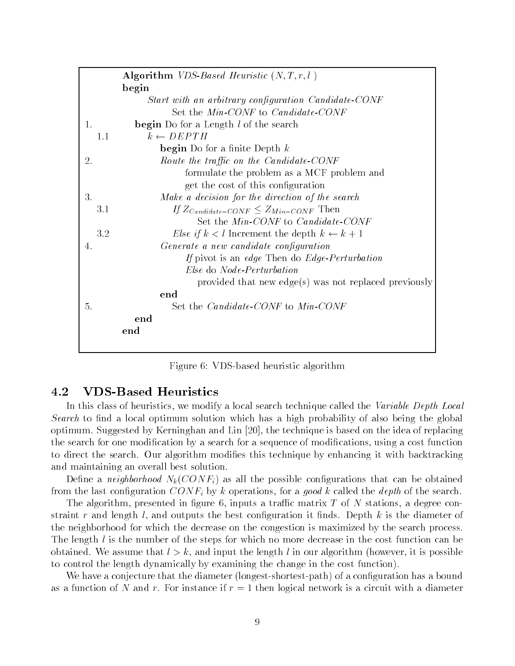|     | Algorithm VDS-Based Heuristic $(N, T, r, l)$                    |
|-----|-----------------------------------------------------------------|
|     | begin                                                           |
|     | Start with an arbitrary configuration Candidate-CONF            |
|     | Set the Min-CONF to Candidate-CONF                              |
| 1.  | <b>begin</b> Do for a Length $l$ of the search                  |
| 1.1 | $k \leftarrow DEPTH$                                            |
|     | <b>begin</b> Do for a finite Depth $k$                          |
| 2.  | Route the traffic on the Candidate-CONF                         |
|     | formulate the problem as a MCF problem and                      |
|     | get the cost of this configuration                              |
| 3.  | Make a decision for the direction of the search                 |
| 3.1 | If $Z_{Candide-CONF} \leq Z_{Min-CONF}$ Then                    |
|     | Set the Min-CONF to Candidate-CONF                              |
| 3.2 | <i>Else if</i> $k < l$ Increment the depth $k \leftarrow k + 1$ |
| 4.  | Generate a new candidate configuration                          |
|     | If pivot is an edge Then do Edge-Perturbation                   |
|     | <i>Else</i> do <i>Node-Perturbation</i>                         |
|     | provided that new edge(s) was not replaced previously           |
|     | end                                                             |
| 5.  | Set the <i>Candidate-CONF</i> to <i>Min-CONF</i>                |
|     | end                                                             |
|     | end                                                             |
|     |                                                                 |

Figure 6: VDS-based heuristic algorithm

#### 4.2 VDS-Based Heuristics

In this class of heuristics, we modify a local search technique called the Variable Depth Local Search to -nd a local optimum solution which has a high probability of also being the global optimum. Suggested by Kerninghan and Lin  $[20]$ , the technique is based on the idea of replacing the search for one modi-cation by a sequence of  $\mathbf{M}$ to direct the search Our algorithm modi-es this technique by enhancing it with backtracking and maintaining an overall best solution

 $\Omega$  as all the possible confidence  $\Omega$ from the last con-guration CONFi by <sup>k</sup> operations for a good <sup>k</sup> called the depth of the search

The algorithm presented in -gure inputs a trac matrix T of N stations a degree con straint r and length l and outputs the best con-guration it -nds Depth k is the diameter of the neighborhood for which the decrease on the congestion is maximized by the search process The length  $l$  is the number of the steps for which no more decrease in the cost function can be obtained. We assume that  $l > k$ , and input the length l in our algorithm (however, it is possible to control the length dynamically by examining the change in the cost function

we have a completence that the distinct the property and the diameter  $\alpha$  and a conas a function of N and r. For instance if  $r = 1$  then logical network is a circuit with a diameter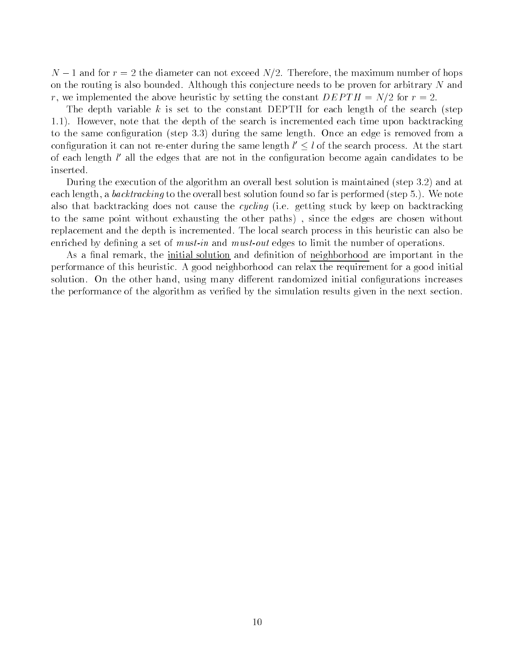$N-1$  and for  $r=2$  the diameter can not exceed  $N/2$ . Therefore, the maximum number of hops on the routing is also bounded. Although this conjecture needs to be proven for arbitrary  $N$  and r, we implemented the above heuristic by setting the constant  $DEPTH = N/2$  for  $r = 2$ .

The depth variable  $k$  is set to the constant DEPTH for each length of the search (step 1.1). However, note that the depth of the search is incremented each time upon backtracking  $\mathcal{L}$  to the same length  $\mathcal{L}$  and  $\mathcal{L}$  removed from an edge is removed from an edge is removed from an edge is removed from an edge is removed from an edge is removed from an edge is removed from an edge is rem configuration it can not re-enter during the same length  $l' \leq l$  of the search process. At the start of each length  $l'$  all the edges that are not in the configuration become again candidates to be inserted

During the execution of the algorithm an overall best solution is maintained (step 3.2) and at each length, a *backtracking* to the overall best solution found so far is performed (step 5.). We note also that backtracking does not cause the *cycling* (i.e. getting stuck by keep on backtracking to the same point without exhausting the other paths), since the edges are chosen without replacement and the depth is incremented. The local search process in this heuristic can also be enriched by de-ning a set of mustin and mustout edges to limit the number of operations

as a common the initial solution and de-common common and de-common and de-common common contract in the import performance of this heuristic A good neighborhood can relax the requirement for a good initial solution On the other hand using many dierent randomized initial con-gurations increases the performance of the algorithm as verified as verified results section  $\pi$  . The simulation results section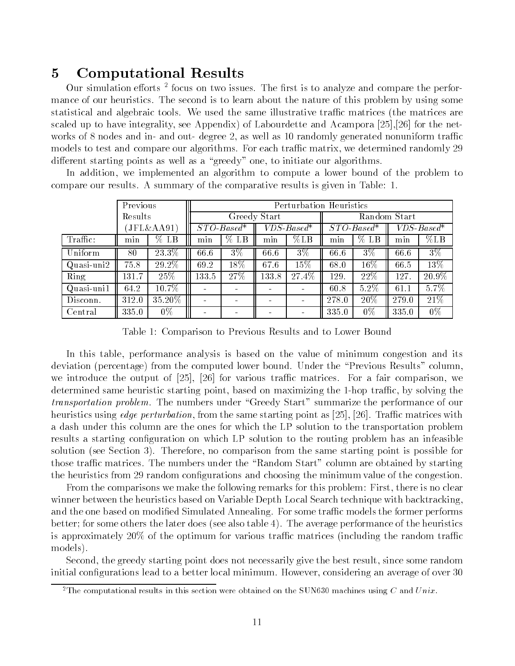#### Computational Results  $\overline{5}$

Our simulation enorts - focus on two issues. The first is to analyze and compare the performance of our heuristics. The second is to learn about the nature of this problem by using some statistical and algebraic tools. We used the same illustrative traffic matrices (the matrices are scaled up to have integrality, see Appendix) of Labourdette and Acampora  $[25]$ ,  $[26]$  for the networks of 8 nodes and in- and out- degree 2, as well as 10 randomly generated nonuniform traffic models to test and compare our algorithms. For each traffic matrix, we determined randomly 29 different starting points as well as a "greedy" one, to initiate our algorithms.

In addition, we implemented an algorithm to compute a lower bound of the problem to compare our results A summary of the comparative results is given in Table

|            | Previous |           | Perturbation Heuristics |                   |                      |               |               |         |                      |                    |  |  |
|------------|----------|-----------|-------------------------|-------------------|----------------------|---------------|---------------|---------|----------------------|--------------------|--|--|
|            | Results  |           |                         |                   | Greedy Start         |               | Random Start  |         |                      |                    |  |  |
|            |          | JFL&AA91) |                         | $STO-Based^*$     | $VDS\text{-}Based^*$ |               | $STO-Based^*$ |         | $VDS\text{-}Based^*$ |                    |  |  |
| Traffic:   | min      | $%$ LB    | min                     | $%$ LB            |                      | $\%\text{LB}$ | min           | $%$ LB  | min                  | $\%$ LB            |  |  |
| Uniform    | 80       | $23.3\%$  | 66.6                    | $3\%$             | 66.6                 | $3\%$         | 66.6          | $3\%$   | 66.6                 | $3\%$              |  |  |
| Quasi-uni2 | 75.8     | 29.2%     | 69.2                    | $\overline{18\%}$ | 67.6                 | 15%           | 68.0          | 16%     | 66.5                 | 13%                |  |  |
| Ring       | 131.7    | $25\%$    | 33.5                    | 27%               | 133.8                | 27.4%         | 129.          | 22%     | 127.                 | 20.9%              |  |  |
| Quasi-uni1 | 64.2     | 10.7%     |                         |                   |                      |               | 60.8          | $5.2\%$ | 61.1                 | $\overline{5.7}\%$ |  |  |
| Disconn.   | 312.0    | 35.20%    |                         |                   |                      |               | 278.0         | 20%     | 279.0                | 21%                |  |  |
| Central    | 335.0    | $0\%$     |                         |                   |                      |               | 335.0         | $0\%$   | 335.0                | $0\%$              |  |  |

Table 1: Comparison to Previous Results and to Lower Bound

In this table, performance analysis is based on the value of minimum congestion and its deviation (percentage) from the computed lower bound. Under the "Previous Results" column, we introduce the output of  $\left[25\right], \left[26\right]$  for various traffic matrices. For a fair comparison, we determined same heuristic starting point, based on maximizing the 1-hop traffic, by solving the transportation problem. The numbers under "Greedy Start" summarize the performance of our heuristics using *edge perturbation*, from the same starting point as [25], [26]. Traffic matrices with a dash under this column are the ones for which the LP solution to the transportation problem results a starting configuration on which let constant to the routing problem has an infeasible solution (see Section 3). Therefore, no comparison from the same starting point is possible for those traffic matrices. The numbers under the "Random Start" column are obtained by starting the minimum value  $\sim$  random constructions and choosing the minimum value of the congestions  $\sim$ 

From the comparisons we make the following remarks for this problem: First, there is no clear winner between the heuristics based on Variable Depth Local Search technique with backtracking and the simulated and the simulated and the form  $\mathcal{A}$  . The form  $\mathcal{A}$  is the form of  $\mathcal{A}$  is the form of  $\mathcal{A}$ better; for some others the later does (see also table 4). The average performance of the heuristics is approximately  $20\%$  of the optimum for various traffic matrices (including the random traffic models).

Second, the greedy starting point does not necessarily give the best result, since some random initial con-gurations lead to a better local minimum However considering an average of over

The computational results in this section were obtained on the SUN050 machines using C and  $\scriptstyle{U}\!\mathit{R}\!\mathit{t}\mathit{t}$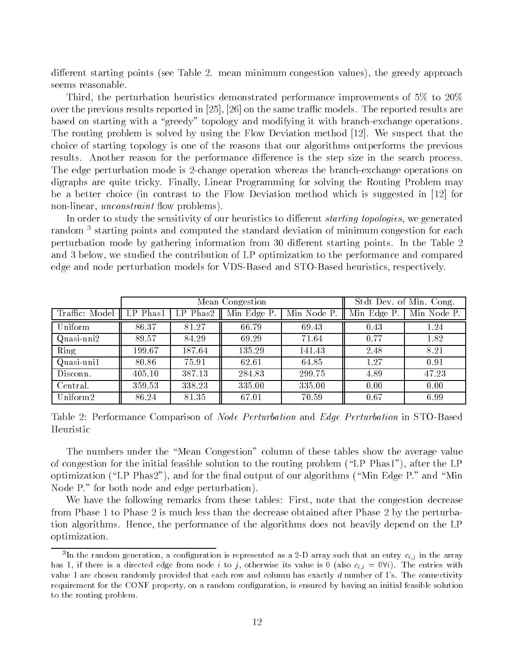different starting points (see Table 2. mean minimum congestion values), the greedy approach seems reasonable

Third, the perturbation heuristics demonstrated performance improvements of  $5\%$  to  $20\%$ over the previous results reported in  $[25]$ ,  $[26]$  on the same traffic models. The reported results are based on starting with a "greedy" topology and modifying it with branch-exchange operations. The routing problem is solved by using the Flow Deviation method  $[12]$ . We suspect that the choice of starting topology is one of the reasons that our algorithms outperforms the previous results. Another reason for the performance difference is the step size in the search process. The edge perturbation mode is 2-change operation whereas the branch-exchange operations on digraphs are quite tricky. Finally, Linear Programming for solving the Routing Problem may be a better choice (in contrast to the Flow Deviation method which is suggested in  $[12]$  for non-linear, *unconstraint* flow problems).

In order to study the sensitivity of our heuristics to different *starting topologies*, we generated random<sup>3</sup> starting points and computed the standard deviation of minimum congestion for each perturbation mode by gathering information from 30 different starting points. In the Table 2 and 3 below, we studied the contribution of LP optimization to the performance and compared edge and node perturbation models for VDS-Based and STO-Based heuristics, respectively.

|                |                       | Mean Congestion |             | Stdt Dev. of Min. Cong. |             |             |
|----------------|-----------------------|-----------------|-------------|-------------------------|-------------|-------------|
| Traffic: Model | $\overline{LP}$ Phas1 | LP Phas2        | Min Edge P. | Min Node P.             | Min Edge P. | Min Node P. |
| Uniform        | 86.37                 | 81.27           | 66.79       | 69.43                   | 0.43        | 1.24        |
| Quasi-uni2     | 89.57                 | 84.29           | 69.29       | 71.64                   | 0.77        | 1.82        |
| Ring           | 199.67                | 187.64          | 135.29      | 141.43                  | 2.48        | 8.21        |
| $Quasi-uni1$   | 80.86                 | 75.91           | 62.61       | 64.85                   | 1.27        | 0.91        |
| Disconn.       | 405.10                | 387.13          | 284.83      | 299.75                  | 4.89        | 47.23       |
| Central.       | 359.53                | 338.23          | 335.00      | 335.00                  | 0.00        | 0.00        |
| Uniform2       | 86.24                 | 81.35           | 67.01       | 70.59                   | 0.67        | 6.99        |

Table 2: Performance Comparison of *Node Perturbation* and *Edge Perturbation* in STO-Based Heuristic

The numbers under the "Mean Congestion" column of these tables show the average value of congestion for the initial feasible solution to the routing problem  $("LP Phas1")$ , after the LP representative (i.e. the contract  $\mu$  and for the contract of our algorithms (i.e. the contract of our algorithms (i.e. the contract of our algorithms (i.e. the contract of our algorithms (i.e. the contract of our algorit Node  $P$ ." for both node and edge perturbation).

We have the following remarks from these tables: First, note that the congestion decrease from Phase 1 to Phase 2 is much less than the decrease obtained after Phase 2 by the perturbation algorithms. Hence, the performance of the algorithms does not heavily depend on the LP optimization

<sup>-</sup>in the random generation, a configuration is represented as a 2-D array such that an entry  $c_{i,j}$  in the array  $\mu$ as 1, if there is a directed edge from node *t* to *j*, otherwise its value is  $\sigma$  (also  $e_{i,i} = 0$ v*t*). The entries with value are chosen randomly provided that each row and column has exactly <sup>d</sup> number of s The connectivity requirement for the CONF property on a random con-guration is ensured by having an initial feasible solutionto the routing problem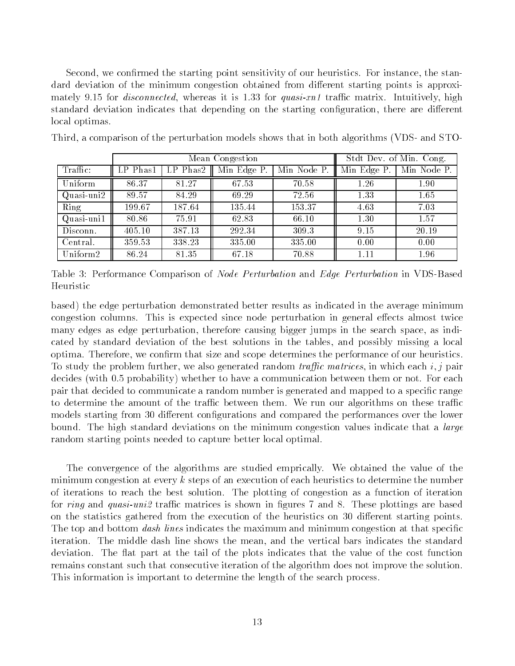red the starting the starting the starting point sensitivity of our medicines For instance, the starting the s dard deviation of the minimum congestion obtained from different starting points is approximately 9.15 for *disconnected*, whereas it is 1.33 for *quasi-xn1* traffic matrix. Intuitively, high standard deviation indicates that depending on the starting con-guration there are dierent local optimas

|              |                        | Mean Congestion | Stdt Dev. of Min. Cong.          |                                 |             |             |
|--------------|------------------------|-----------------|----------------------------------|---------------------------------|-------------|-------------|
| Traffic:     | $\overline{LP}$ Phas 1 | LP Phas2        | $\overline{\text{Min Edge P}}$ . | $\overline{\text{Min Node P.}}$ | Min Edge P. | Min Node P. |
| Uniform      | 86.37                  | 81.27           | 67.53                            | 70.58                           | 1.26        | 1.90        |
| Quasi-uni2   | 89.57                  | 84.29           | 69.29                            | 72.56                           | 1.33        | 1.65        |
| Ring         | 199.67                 | 187.64          | 135.44                           | 153.37                          | 4.63        | 7.03        |
| $Quasi-uni1$ | 80.86                  | 75.91           | 62.83                            | 66.10                           | 1.30        | 1.57        |
| Disconn.     | 405.10                 | 387.13          | 292.34                           | 309.3                           | 9.15        | 20.19       |
| Central.     | 359.53                 | 338.23          | 335.00                           | 335.00                          | 0.00        | 0.00        |
| Uniform2     | 86.24                  | 81.35           | 67.18                            | 70.88                           | 1.11        | 1.96        |

Third, a comparison of the perturbation models shows that in both algorithms (VDS- and STO-

Table 3: Performance Comparison of *Node Perturbation* and *Edge Perturbation* in VDS-Based Heuristic

based) the edge perturbation demonstrated better results as indicated in the average minimum congestion columns. This is expected since node perturbation in general effects almost twice many edges as edge perturbation, therefore causing bigger jumps in the search space, as indicated by standard deviation of the best solutions in the tables, and possibly missing a local rp that size and size and size and size and size and size and size and performance of our heuristics of our he To study the problem further, we also generated random *traffic matrices*, in which each i, j pair decides (with 0.5 probability) whether to have a communication between them or not. For each pair that decided to communicate a random number is generated and mapped to a speci-c range to determine the amount of the traffic between them. We run our algorithms on these traffic models starting from dierent con-gurations and compared the performances over the lower bound. The high standard deviations on the minimum congestion values indicate that a *large* random starting points needed to capture better local optimal

The convergence of the algorithms are studied emprically. We obtained the value of the minimum congestion at every  $k$  steps of an execution of each heuristics to determine the number of iterations to reach the best solution The plotting of congestion as a function of iteration for ring and quasiuni trac matrices is shown in -gures and These plottings are based on the statistics gathered from the execution of the heuristics on 30 different starting points. The top and bottom dash lines indicates the maximum and minimum congestion at that speci-c iteration. The middle dash line shows the mean, and the vertical bars indicates the standard deviation. The flat part at the tail of the plots indicates that the value of the cost function remains constant such that consecutive iteration of the algorithm does not improve the solution This information is important to determine the length of the search process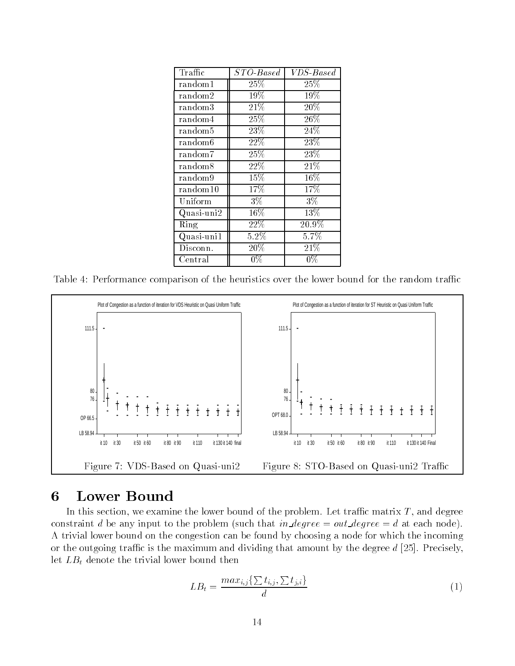| $\overline{\text{Tra}}$ ffic | $STO$ -Based | $\overline{V}\!D S\!\!-\!\!$ Based |
|------------------------------|--------------|------------------------------------|
| random1                      | 25%          | $25\%$                             |
| random2                      | 19%          | 19%                                |
| random3                      | 21\%         | 20%                                |
| random4                      | $25\%$       | $26\%$                             |
| random <sup>5</sup>          | $23\%$       | $24\%$                             |
| random6                      | 22%          | 23\%                               |
| random7                      | 25\%         | 23\%                               |
| random8                      | 22\%         | 21\%                               |
| random9                      | 15%          | 16%                                |
| random10                     | 17%          | 17%                                |
| Uniform                      | $3\%$        | $3\%$                              |
| $\mathrm{Quasi\text{-}uni2}$ | 16%          | 13%                                |
| Ring                         | $22\%$       | 20.9%                              |
| Quasi-uni1                   | 5.2%         | 5.7%                               |
| Disconn.                     | 20%          | 21\%                               |
| $\rm Central$                | $0\%$        | $0\%$                              |

Table 4: Performance comparison of the heuristics over the lower bound for the random traffic



# Lower Bound

In this section, we examine the lower bound of the problem. Let traffic matrix  $T$ , and degree constraint d be any input to the problem (such that in degree = out degree = d at each node). A trivial lower bound on the congestion can be found by choosing a node for which the incoming or the outgoing traffic is the maximum and dividing that amount by the degree  $d$  [25]. Precisely, let  $LB<sub>t</sub>$  denote the trivial lower bound then

$$
LB_t = \frac{max_{i,j}\{\sum t_{i,j}, \sum t_{j,i}\}}{d} \tag{1}
$$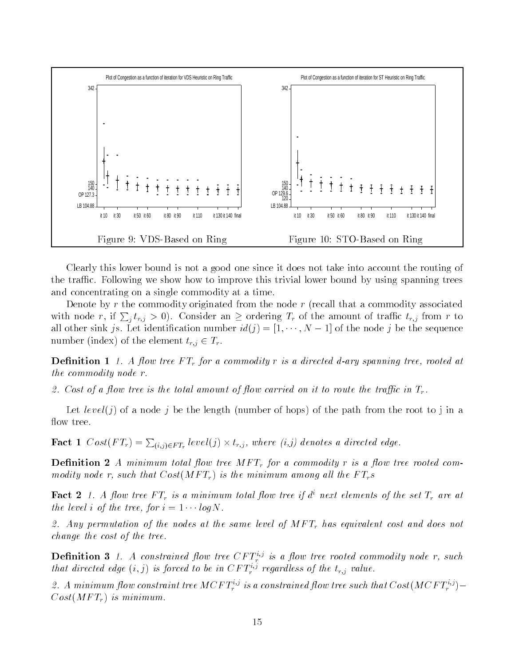

Clearly this lower bound is not a good one since it does not take into account the routing of the traffic. Following we show how to improve this trivial lower bound by using spanning trees and concentrating on a single commodity at a time

Denote by r the commodity originated from the node  $r$  (recall that a commodity associated with node r, if  $\sum_i t_{r,i} > 0$ . Consider an  $\geq$  ordering  $T_r$  of the amount of traffic  $t_{r,i}$  from r to an other sink  $\gamma$ s. Let identification number  $\iota u(\gamma) = \gamma_1, \cdots, \gamma_{N-1} = \gamma_1$  or the node  $\gamma$  be the sequence number (index) of the element  $t_{r,i} \in T_r$ .

 $\blacksquare$  decreases  $\blacksquare$  on transferred data transferred data transferred data trees at the commodity trees at the commodity the commodity node r

2. Cost of a flow tree is the total amount of flow carried on it to route the traffic in  $T_r$ .

Let level(j) of a node j be the length (number of hops) of the path from the root to j in a flow tree.

**Fact 1**  $Cost(FT_r) = \sum_{(i,j) \in FT_r} level(j) \times t_{r,j}$ , where (i,j) denotes a directed edge.

**Definition 2** A minimum total flow tree  $MFT_r$  for a commodity r is a flow tree rooted commodity node r, such that  $Cost(MFT_r)$  is the minimum among all the  $FT_r s$ 

**Fact 2** 1. A flow tree  $FT_r$  is a minimum total flow tree if  $d^i$  next elements of the set  $T_r$  are at the level  $i$  of the tree, for  $i = 1 \cdots log_1 N$ .

2. Any permutation of the nodes at the same level of  $MFT_r$  has equivalent cost and does not change the cost of the tree

**Definition 5** 1. A constrained flow tree  $CFL$  is a flow tree rooted commodity node r, such  $\blacksquare$ that directed edge  $(i, j)$  is forced to be in  $CFT_i^{i,j}$  regardless of the  $t_{r,j}$  value.

2. A minimum pow constraint tree MCFT  $_i^{\sim}$  is a constrained pow tree such that Cost  $(MCFT_i^{\sim})$  –  $Cost(MFT_r)$  is minimum.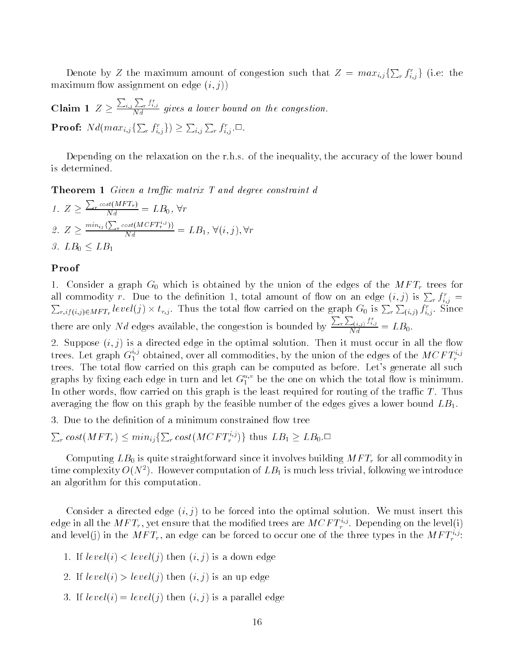Denote by Z the maximum amount of congestion such that  $Z = max_{i,j} {\sum_r f_{i,j}^r}$  (i.e. the maximum flow assignment on edge  $(i, j)$ 

**Claim 1**  $Z \ge \frac{\sum_{i,j} \sum_{r} f_{i,j}^r}{Nd}$  gives a lower bound on the congestion.  ${\bf Proof:} \ Nd(max_{i,j}\{\sum_r f_{i,j}^r\}) \geq \sum_{i,j}\sum_r f_{i,j}^r. \Box.$ 

Depending on the relaxation on the r.h.s. of the inequality, the accuracy of the lower bound is determined

Theorem Given a trac matrix T and degree constraint d

1.  $Z \geq \frac{\sum_r cost(MFT_r)}{Nd} = LB_0, \forall r$ 2.  $Z \ge \frac{\min_{ij} \{\sum_r cost(MCFT_r^{i,j})\}}{Nd} = LB_1, \ \forall (i, j), \forall r$ 3.  $LB_0 \leq LB_1$ 

### Proof

1. Consider a graph  $G_0$  which is obtained by the union of the edges of the  $MFT_r$  trees for all commodity r. Due to the definition 1, total amount of flow on an edge  $(i,j)$  is  $\sum_{r} f_{i,j}^r =$  $\overline{\phantom{a}}$  $_{r,i}(i,j) \in MFT_r \; level(j) \times t_{r,j}.$  Thus the total flow carried on the graph  $G_0$  is  $\sum_r \sum_{(i,j)} f_{i,j}^r$ . Since there are only N d edges available the congestion is bounded by  $\frac{\sum_{r}\sum_{(i,j)}f_{i,j}^r}{Nd}=LB_0.$ 

2. Suppose  $(i, j)$  is a directed edge in the optimal solution. Then it must occur in all the flow trees. Let graph  $G_1^{\gamma_0}$  obtained, over all commodities, by the union of the edges of the  $MCFT_r^{\gamma_J}$  $t \lambda$  on this graph can be computed as before Lets graph can be computed as before Lets generate all such as  $t \lambda$ graphs by fixing each edge in turn and let  $G_1^{\sim}$  be the one on which the total flow is minimum. In other words, flow carried on this graph is the least required for routing of the traffic  $T$ . Thus averaging the flow on this graph by the feasible number of the edges gives a lower bound  $LB_1$ .

 $\sum_{r} cost(MFT_r) \leq min_{ij} \{\sum_{r} cost(MCFT_r^{i,j})\}$  thus  $LB_1 \geq LB_0$ .

Computing  $LB_0$  is quite straightforward since it involves building  $MFT_r$  for all commodity in time complexity  $O(N^2)$ . However computation of  $LB_1$  is much less trivial, following we introduce an algorithm for this computation

Consider a directed edge  $(i, j)$  to be forced into the optimal solution. We must insert this edge in an the *MTT<sub>r</sub>*, yet ensure that the modified trees are *MUFT*  $T_{\rm s}^{\rm spl}$  . Depending on the level(1) and level(1) in the MFT<sub>r</sub>, an edge can be forced to occur one of the three types in the MFT<sub>r</sub><sup>3</sup>:

- 1. If  $level(i) < level(j)$  then  $(i, j)$  is a down edge
- 2. If  $level(i) > level(j)$  then  $(i, j)$  is an up edge
- 3. If  $level(i) = level(j)$  then  $(i, j)$  is a parallel edge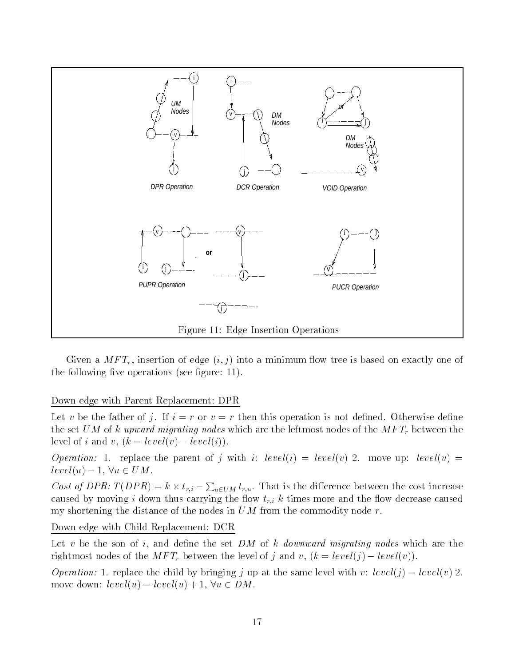

Given a  $MFT_r$ , insertion of edge  $(i, j)$  into a minimum flow tree is based on exactly one of the following the following the following the set of  $\mathcal{L}_{\mathcal{A}}$ 

### Down edge with Parent Replacement: DPR

Let v be the father of j If i r or v r then this operation is not de-ned Otherwise de-ne the set UM of k upward migrating nodes which are the leftmost nodes of the  $MFT_r$  between the level of i and v,  $(k = level(v) - level(i)).$ 

Operation: 1. replace the parent of j with i:  $level(i) = level(v)$  2. move up:  $level(u) =$  $level(u) - 1, \forall u \in UM.$ 

Cost of DPR:  $T(DPR) = k \times t_{r,i} - \sum_{u \in UM} t_{r,u}$ . That is the difference between the cost increase caused by moving i down thus caused the own the own the owner and the owner would be owner and the owner or my shortening the distance of the nodes in  $UM$  from the commodity node r.

Down edge with Child Replacement: DCR

Let v be the son of i and de-ne the set DM of k downward migrating nodes which are the rightmost nodes of the  $MFT_r$  between the level of j and v,  $(k = level(j) - level(v))$ .

*Operation:* 1. replace the child by bringing j up at the same level with v:  $level(j) = level(v)$  2. move down:  $level(u) = level(u) + 1, \forall u \in DM$ .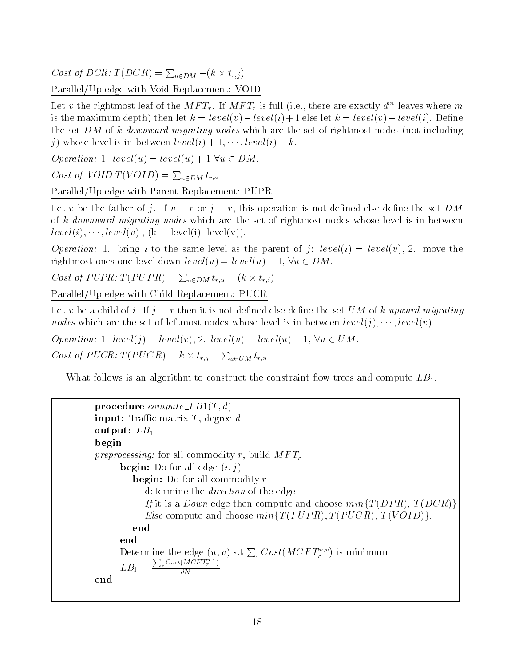Cost of DCR:  $T(DCR) = \sum_{u \in DM} -(k \times t_{r,j})$ 

Parallel/Up edge with Void Replacement: VOID

Let v the rightmost leaf of the MFT<sub>r</sub>. If MFT<sub>r</sub> is full (i.e., there are exactly d<sup>or</sup> leaves where m is the maximum depth) then let  $k = \ell \epsilon \nu \epsilon \ell(\nu) = \ell \epsilon \nu \epsilon \ell(\nu) + 1$  else let  $k = \ell \epsilon \nu \epsilon \ell(\nu) = \ell \epsilon \nu \epsilon \ell(\nu)$ . Define the set DM of k downward migrating nodes which are the set of rightmost nodes (not including If whose level is in between  $level(i) + 1, \dots, level(i) + \kappa$ .

Operation: 1.  $level(u) = level(u) + 1 \ \forall u \in DM$ .

Cost of VOID  $T(VOLD) = \sum_{u \in DM} t_{r,u}$ 

Parallel/Up edge with Parent Replacement: PUPR

Let v be the father of j If v r or j r this operation is not de-ned else de-ne the set DM of k downward migrating nodes which are the set of rightmost nodes whose level is in between  $\iota \in \mathcal{U} \in \iota(\iota)$ ,  $\iota \in \iota(\iota)$ ,  $\iota \in \iota(\iota)$ ,  $\iota \in \iota(\iota)$ ,  $\iota \in \iota(\iota)$ ,  $\iota \in \iota(\iota)$ ,  $\iota \in \iota(\iota)$ ,  $\iota \in \iota(\iota)$ ,  $\iota \in \iota(\iota)$ ,  $\iota \in \iota(\iota)$ ,  $\iota \in \iota(\iota)$ ,  $\iota \in \iota(\iota)$ ,  $\iota \in \iota(\iota)$ ,  $\iota \$ 

*Operation:* 1. bring i to the same level as the parent of j:  $level(i) = level(v)$ , 2. move the rightmost ones one level down  $level(u) = level(u) + 1, \forall u \in DM$ .

Cost of PUPR:  $T(PUPR) = \sum_{u \in DM} t_{r,u} - (k \times t_{r,i})$ 

Parallel/Up edge with Child Replacement: PUCR

Let v be a child of i If j r then it is not de-ned else de-ne the set UM of k upward migrating  $n_{\rm OGE}$  which are the set of leftmost nodes whose level is in between  $t_{\rm COE}(T)$ ,  $\cdots$ ,  $t_{\rm COE}(U)$ .

Operation: 1.  $level(j) = level(v), 2. \; level(u) = level(u) - 1, \forall u \in UM.$ Cost of PUCR:  $T(PUCR) = k \times t_{r,j} - \sum_{u \in UM} t_{r,u}$ 

What follows is an algorithm to construct the constraint flow trees and compute  $LB_1$ .

```
procedure compute\_LB1(T, d)input: Traffic matrix T, degree d
output: LB_1begin
preprocessing: for all commodity r, build MFT_rbegin: Do for all edge (i, j)begin: Do for all commodity rdetermine the direction of the edge
            If it is a Down edge then compute and choose min\{T(DPR), T(DCR)\}Else compute and choose min\{T(PUPR), T(PUCR), T(VOID)\}.
         end
      Determine the edge (u, v) s.t \sum_{r} Cost(MCFT_r^{u,v}) is minimum<br>
LB_1 = \frac{\sum_{r} Cost(MCFT_r^{u,v})}{dN}end
```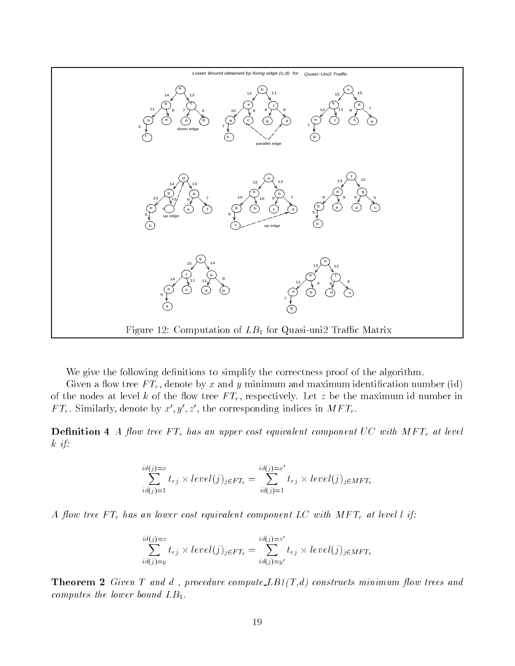

we give the following de-ministers to simplify the corrections proof of the algorithment

Given a ow tree F Tr denote by x and y minimum and maximum identi-cation number 
id of the nodes at level k of the flow tree  $FT_r$ , respectively. Let z be the maximum id number in  $FT_r$ . Similarly, denote by x', y', z', the corresponding indices in  $MFT_r$ .

**Definition 4** A flow tree  $FT_r$  has an upper cost equivalent component UC with MFT<sub>r</sub> at level  $k$  if:

$$
\sum_{id(j)=1}^{id(j)=x} t_{rj} \times level(j)_{j \in FT_r} = \sum_{id(j)=1}^{id(j)=x'} t_{rj} \times level(j)_{j \in MFT_r}
$$

A flow tree  $FT_r$  has an lower cost equivalent component LC with  $MFT_r$  at level l if:

$$
\sum_{id(j)=y}^{id(j)=z} t_{rj} \times level(j)_{j \in FT_r} = \sum_{id(j)=y'}^{id(j)=z'} t_{rj} \times level(j)_{j \in MFT_r}
$$

Theorem Given T and d procedure compute LB T d constructs minimum ow trees and computes the lower bound  $LB_1$ .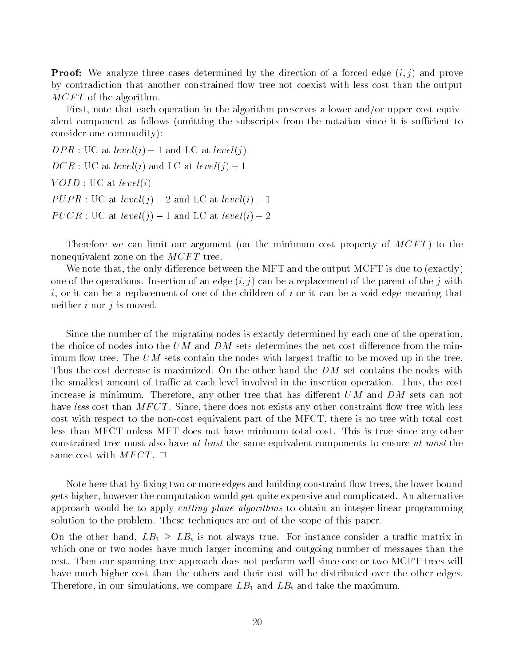**Proof:** We analyze three cases determined by the direction of a forced edge  $(i, j)$  and prove by contradiction that another constrained flow tree not coexist with less cost than the output MCFT of the algorithm.

First, note that each operation in the algorithm preserves a lower and/or upper cost equivalent component as follows (omitting the subscripts from the notation since it is sufficient to consider one commodity

 $DPR:UC$  at  $level(i) = 1$  and LC at  $level(j)$  $DCR$ : UC at level(i) and LC at level(j) + 1  $VOID: UC$  at  $level(i)$  $PUPR : UC$  at  $level(j) - 2$  and LC at  $level(i) + 1$  $PUCR$ : UC at  $level(j) - 1$  and LC at  $level(i) + 2$ 

Therefore we can limit our argument (on the minimum cost property of  $MCFT$ ) to the nonequivalent zone on the  $MCFT$  tree.

We note that, the only difference between the MFT and the output  $MCFT$  is due to (exactly) one of the operations. Insertion of an edge  $(i, j)$  can be a replacement of the parent of the j with i, or it can be a replacement of one of the children of i or it can be a void edge meaning that neither  $i$  nor  $j$  is moved.

Since the number of the migrating nodes is exactly determined by each one of the operation the choice of nodes into the UM and DM sets determines the net cost difference from the minimum flow tree. The  $UM$  sets contain the nodes with largest traffic to be moved up in the tree. Thus the cost decrease is maximized. On the other hand the  $DM$  set contains the nodes with the smallest amount of traffic at each level involved in the insertion operation. Thus, the cost increase is minimum. Therefore, any other tree that has different  $UM$  and  $DM$  sets can not have less cost than  $MFCT$ . Since, there does not exists any other constraint flow tree with less cost with respect to the non-cost equivalent part of the MFCT, there is no tree with total cost less than MFCT unless MFT does not have minimum total cost This is true since any other constrained tree must also have at least the same equivalent components to ensure at most the same cost with  $MFCT$ .  $\Box$ 

 $\mathcal{N}$  -constraint of  $\mathcal{N}$  -constraint of lower bounded constraint ow trees the lower bounded constraint ow trees the lower bounded constraint of  $\mathcal{N}$ gets higher, however the computation would get quite expensive and complicated. An alternative approach would be to apply *cutting plane algorithms* to obtain an integer linear programming solution to the problem. These techniques are out of the scope of this paper.

On the other hand,  $LB_1 \geq LB_t$  is not always true. For instance consider a traffic matrix in which one or two nodes have much larger incoming and outgoing number of messages than the rest. Then our spanning tree approach does not perform well since one or two MCFT trees will have much higher cost than the others and their cost will be distributed over the other edges. Therefore, in our simulations, we compare  $LB_1$  and  $LB_t$  and take the maximum.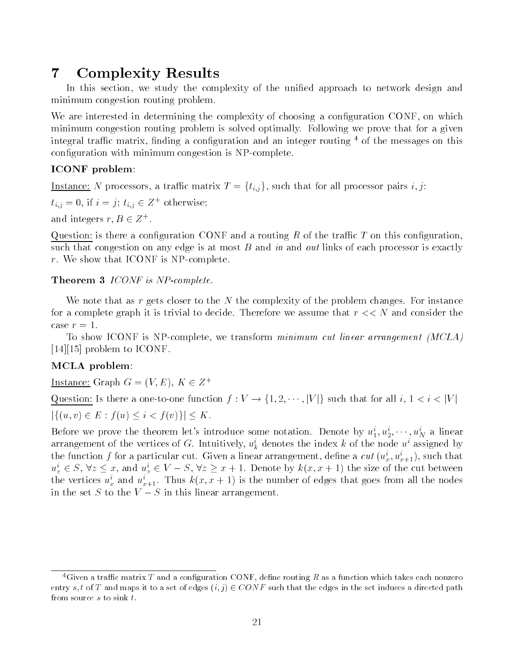#### Complexity Results  $\overline{7}$

In this section we study the complexity of the uni-ed approach to network design and minimum congestion routing problem

we are interested in determining the complexity of choosing a complexity of contract  $\mathbf{r}$ minimum congestion routing problem is solved optimally Following we prove that for a given integral trainc matrix, iniding a configuration and an integer routing – of the messages on this con-quention with minimum congestion is the consequence is  $\mathbf{r}$ 

### ICONF problem

Instance: N processors, a traffic matrix  $T = \{t_{i,j}\}\text{, such that for all processor pairs }i, j$ :

 $t_{i,i} = 0$ , if  $i = j$ ;  $t_{i,j} \in \mathbb{Z}^+$  otherwise;

and integers  $r, B \in Z^+$ .

question is there a configuration control and a routing R of the trace of the trace  $\alpha$ such that congestion on any edge is at most  $B$  and in and out links of each processor is exactly  $r$ . We show that ICONF is NP-complete.

### Theorem 3 ICONF is NP-complete.

We note that as r gets closer to the  $N$  the complexity of the problem changes. For instance for a complete graph it is trivial to decide. Therefore we assume that  $r \ll N$  and consider the case  $r=1$ .

To show ICONF is NPcomplete we transform minimum cut linear arrangement MCLA  $[14][15]$  problem to ICONF.

### MCLA problem

Instance: Graph  $G = (V, E), K \in Z^+$ 

Question: Is there a one-to-one function  $f: V \to \{1, 2, \cdots, |V|\}$  such that for all  $i, 1 < i < |V|$  $|\{(u, v) \in E : f(u) \leq i < f(v)\}| \leq K.$ 

Before we prove the theorem let's introduce some notation. Denote by  $u_1, u_2, \cdots, u_N$  a linear arrangement of the vertices of G. Thuuttively,  $u_k$  denotes the index  $\kappa$  of the node  $u$  assigned by the function f for a particular cut. Given a linear arrangement, define a cut  $(u_x^-, u_{x+1}^-)$ , such that  $u_z^i \in S$ ,  $\forall z \leq x$ , and  $u_z^i \in V - S$ ,  $\forall z \geq x + 1$ . Denote by  $k(x, x + 1)$  the size of the cut between the vertices  $u_x^i$  and  $u_{x+1}^i$ . Thus  $k(x, x+1)$  is the number of edges that goes from all the nodes in the set S to the  $V-S$  in this linear arrangement.

<sup>-</sup>Given a trainc matrix  $T$  and a configuration CONF , define routing  $R$  as a function which takes each nonzero  $\pm$ entry  $s$  ,  $\iota$  of  $I$  -and maps it to a set of edges  $\iota, \, \iota \, \in \cup \cup \, \iota \, r$  -such that the edges in the set induces a directed path  $f$  from source  $s$  to sink  $t$ .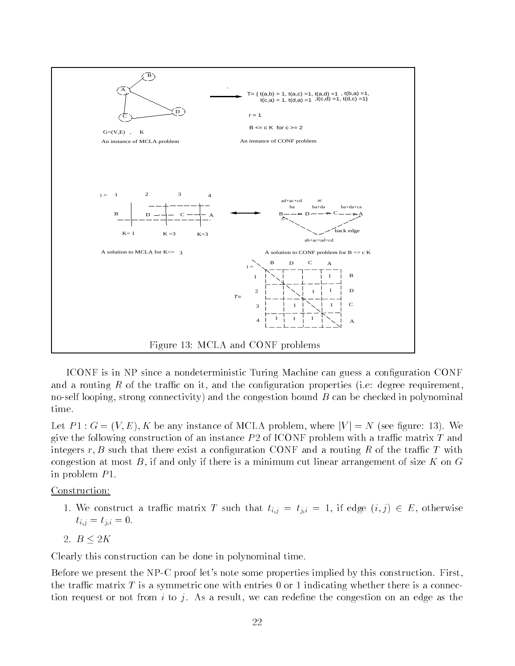

ICONF is in NP since a nondeterministic Turing Machine can guess a con-guration CONF and a routing R of the trac on it and the con-guration properties 
ie degree requirement no-self looping, strong connectivity) and the congestion bound  $B$  can be checked in polynominal time.

Let  $P1: G = (V, E), K$  be any instance of MCLA problem, where  $|V| = N$  (see figure: 13). We give the following construction of an instance  $P2$  of ICONF problem with a traffic matrix T and integers r particularity control that the construction control and a routing average routing the track of the congestion at most  $B$ , if and only if there is a minimum cut linear arrangement of size  $K$  on  $G$ in problem  $P1$ .

### Construction

- 1. We construct a traffic matrix T such that  $t_{i,j} = t_{j,i} = 1$ , if edge  $(i,j) \in E$ , otherwise tituding the contract of the contract of the contract of the contract of the contract of the contract of the contract of the contract of the contract of the contract of the contract of the contract of the contract of the c
- 2.  $B \leq 2K$

Clearly this construction can be done in polynominal time

Before we present the NP-C proof let's note some properties implied by this construction. First, the traffic matrix T is a symmetric one with entries 0 or 1 indicating whether there is a connection request or not from intervals we can rede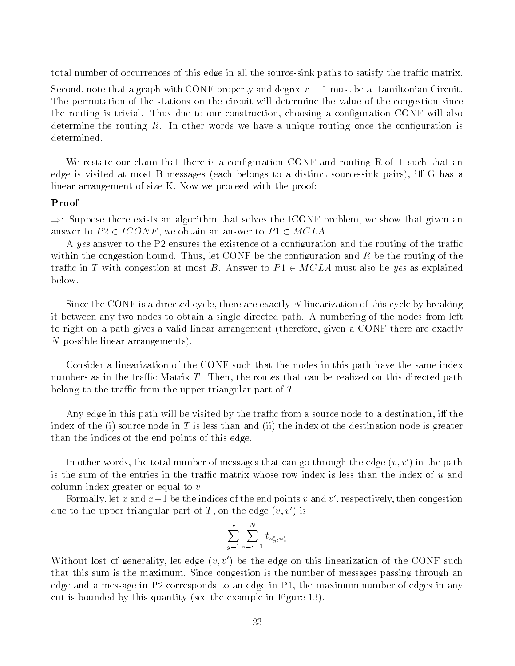total number of occurrences of this edge in all the source-sink paths to satisfy the traffic matrix.

Second, note that a graph with CONF property and degree  $r = 1$  must be a Hamiltonian Circuit. The permutation of the stations on the circuit will determine the value of the congestion since the routing is trivial Thus due to our construction choosing a con-guration CONF will also determine the routing  $\mathcal{U}$  in other words we have a unique routing once the condetermined

We restate our claim that there is a con-guration CONF and routing R of T such that an edge is visited at most B messages (each belongs to a distinct source-sink pairs), iff G has a linear arrangement of size K. Now we proceed with the proof:

### Proof

 $\Rightarrow$ : Suppose there exists an algorithm that solves the ICONF problem, we show that given an answer to  $P2 \in ICONF$ , we obtain an answer to  $P1 \in MCLA$ .

A yes answer to the P ensures the existence of a con-guration and the routing of the trac with the congestion bound Thus let  $\mathcal{L}$  be the routing of the routing of the routing of the routing of the routing of the routing of the routing of the routing of the routing of the routing of the routing of the routi traffic in T with congestion at most B. Answer to  $P1 \in MCLA$  must also be yes as explained below

Since the CONF is a directed cycle, there are exactly  $N$  linearization of this cycle by breaking it between any two nodes to obtain a single directed path A numbering of the nodes from left to right on a path gives a valid linear arrangement (therefore, given a CONF there are exactly N possible linear arrangements).

Consider a linearization of the CONF such that the nodes in this path have the same index numbers as in the traffic Matrix  $T$ . Then, the routes that can be realized on this directed path belong to the traffic from the upper triangular part of  $T$ .

Any edge in this path will be visited by the traffic from a source node to a destination, iff the index of the (i) source node in T is less than and (ii) the index of the destination node is greater than the indices of the end points of this edge

In other words, the total number of messages that can go through the edge  $(v, v')$  in the path is the sum of the entries in the traffic matrix whose row index is less than the index of  $u$  and column index greater or equal to v

Formally, let x and  $x+1$  be the indices of the end points v and v', respectively, then congestion due to the upper triangular part of T, on the edge  $(v, v')$  is

$$
\sum_{y=1}^{x} \sum_{z=x+1}^{N} t_{u_y^i, u_z^i}
$$

Without lost of generality, let edge  $(v, v')$  be the edge on this linearization of the CONF such that this sum is the maximum Since congestion is the number of messages passing through an edge and a message in P2 corresponds to an edge in P1, the maximum number of edges in any cut is bounded by this quantity (see the example in Figure 13).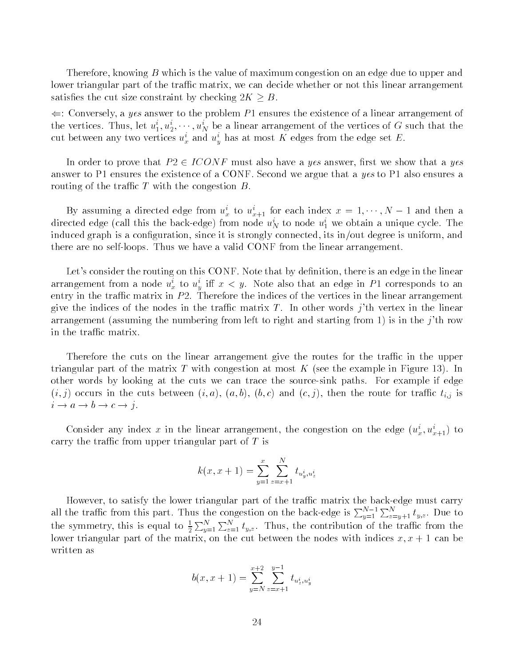Therefore, knowing B which is the value of maximum congestion on an edge due to upper and lower triangular part of the traffic matrix, we can decide whether or not this linear arrangement satisfies the cut size constraint by checking  $2K \geq B$ .

 $\Leftarrow$ : Conversely, a yes answer to the problem P1 ensures the existence of a linear arrangement of the vertices. Thus, let  $u_1, u_2, \cdots, u_N$  be a linear arrangement of the vertices of G such that the cut between any two vertices  $u_x$  and  $u_y$  has at most  $K$  edges from the edge set  $E$ .

In order to prove that  $P2 \in ICONF$  must also have a yes answer, hrst we show that a yes answer to P1 ensures the existence of a CONF. Second we argue that a yes to P1 also ensures a routing of the traffic  $T$  with the congestion  $B$ .

By assuming a directed edge from  $u_x$  to  $u_{x+1}$  for each index  $x = 1, \dots, N-1$  and then a directed edge (call this the back-edge) from hode  $u_N$  to hode  $u_1$  we obtain a unique cycle. The induced graph is a con-guration since it is strongly connected its inout degree is uniform and there are no self-loops. Thus we have a valid CONF from the linear arrangement.

 $\mathcal{L}$ arrangement from a node  $u_x$  to  $u_y$  in  $x < y$  . Note also that an edge in PT corresponds to an entry in the traffic matrix in  $P2$ . Therefore the indices of the vertices in the linear arrangement give the indices of the nodes in the traffic matrix T. In other words j'th vertex in the linear arrangement (assuming the numbering from left to right and starting from 1) is in the j'th row in the traffic matrix.

Therefore the cuts on the linear arrangement give the routes for the traffic in the upper triangular part of the matrix T with congestion at most K (see the example in Figure 13). In other words by looking at the cuts we can trace the source-sink paths. For example if edge if it is between the cuts between  $\lambda$  and the route for tractional  $\lambda$  is a set of traction of the route for the route for the route for the route for the route for the route for the route for the route for the route fo  $i \to a \to b \to c \to j$ .

Consider any index x in the linear arrangement, the congestion on the edge  $(u_x^i, u_{x+1}^i)$  to carry the traffic from upper triangular part of  $T$  is

$$
k(x, x + 1) = \sum_{y=1}^{x} \sum_{z=x+1}^{N} t_{u_y^i, u_z^i}
$$

However, to satisfy the lower triangular part of the traffic matrix the back-edge must carry all the traffic from this part. Thus the congestion on the back-edge is  $\sum_{y=1}^{N-1}\sum_{z=y+1}^{N} t_{y,z}$ . Due to the symmetry, this is equal to  $\frac{1}{2}\sum_{y=1}^{N}\sum_{z=1}^{N}t_{y,z}$ . Thus, the contribution of the traffic from the lower triangular part of the matrix on the cut between the nodes with indices x x can be written as

$$
b(x, x + 1) = \sum_{y=N}^{x+2} \sum_{z=x+1}^{y-1} t_{u_z^i, u_y^i}
$$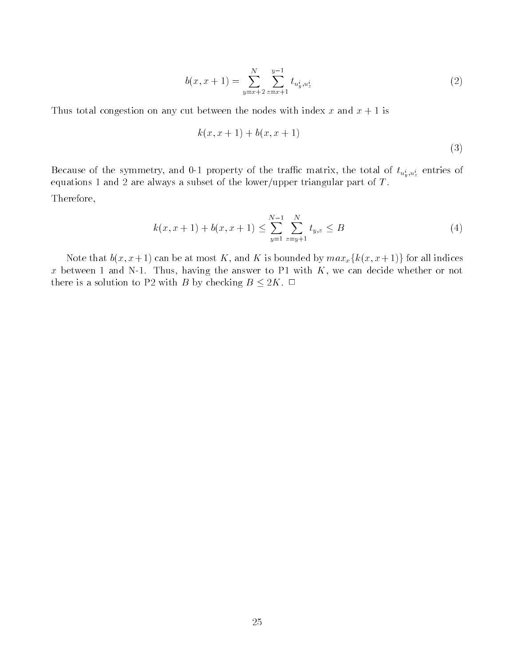$$
b(x, x + 1) = \sum_{y=x+2}^{N} \sum_{z=x+1}^{y-1} t_{u_y^i, u_z^i}
$$
 (2)

Thus total congestion on any cut between the nodes with index x and  $x + 1$  is

$$
k(x, x+1) + b(x, x+1)
$$
 (3)

Because of the symmetry, and is properly of the trace matrix  $\cdots$  , the total of  $u_y,u_z$  -from  $\cdots$ equations 1 and 2 are always a subset of the lower/upper triangular part of  $T$ . Therefore

$$
k(x, x + 1) + b(x, x + 1) \le \sum_{y=1}^{N-1} \sum_{z=y+1}^{N} t_{y,z} \le B
$$
\n(4)

Note that  $b(x, x+1)$  can be at most K, and K is bounded by  $max_x{k(x, x+1)}$  for all indices x between 1 and N-1. Thus, having the answer to P1 with  $K$ , we can decide whether or not there is a solution to P2 with B by checking  $B \leq 2K$ .  $\Box$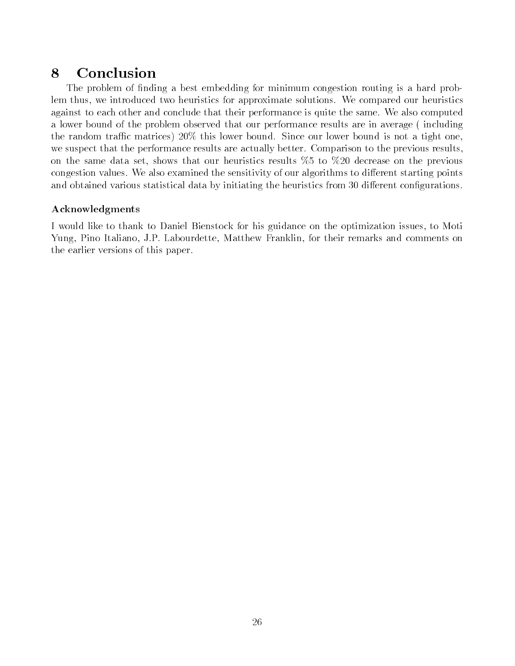# Conclusion

The problem of -nding a best embedding for minimum congestion routing is a hard prob lem thus, we introduced two heuristics for approximate solutions. We compared our heuristics against to each other and conclude that their performance is quite the same. We also computed a lower bound of the problem observed that our performance results are in average (including the random traffic matrices)  $20\%$  this lower bound. Since our lower bound is not a tight one, we suspect that the performance results are actually better. Comparison to the previous results, on the same data set, shows that our heuristics results  $\%5$  to  $\%20$  decrease on the previous congestion values. We also examined the sensitivity of our algorithms to different starting points and obtained various statistical data by initiating the heuristics from  $\mathcal{U}$ 

### Acknowledgments

I would like to thank to Daniel Bienstock for his guidance on the optimization issues to Moti Yung, Pino Italiano, J.P. Labourdette, Matthew Franklin, for their remarks and comments on the earlier versions of this paper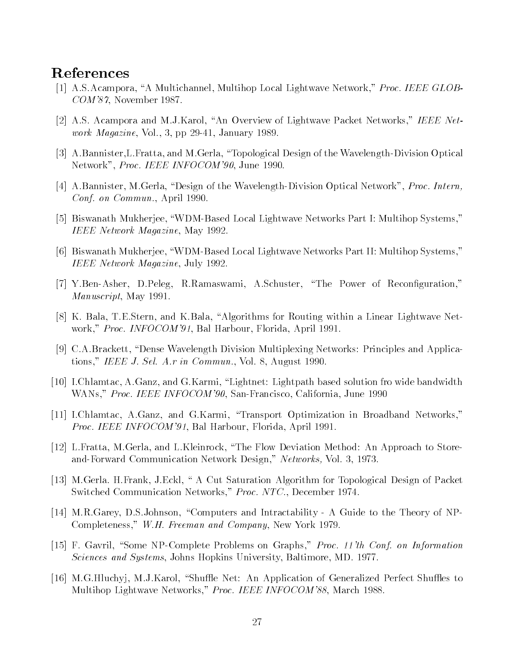# References

- [1] A.S.Acampora, "A Multichannel, Multihop Local Lightwave Network," Proc. IEEE GLOB-Commentary Comment of the Comment of the Comment of the Comment of the Comment of the Comment of the Comment of the Comment of the Comment of the Comment of the Comment of the Comment of the Comment of the Comment of the C
- [2] A.S. Acampora and M.J.Karol, "An Overview of Lightwave Packet Networks," IEEE Net*work Magazine*, Vol., 3, pp  $29-41$ , January 1989.
- [3] A.Bannister, L.Fratta, and M.Gerla, "Topological Design of the Wavelength-Division Optical Network", Proc. IEEE INFOCOM'90, June 1990.
- [4] A.Bannister, M.Gerla, "Design of the Wavelength-Division Optical Network", Proc. Intern, Conf. on Commun., April 1990.
- [5] Biswanath Mukherjee, "WDM-Based Local Lightwave Networks Part I: Multihop Systems," IEEE Network Magazine, May 1992.
- [6] Biswanath Mukherjee, "WDM-Based Local Lightwave Networks Part II: Multihop Systems," IEEE Network Magazine, July 1992.
- YBenAsher DPeleg RRamaswami ASchuster The Power of Recon-guration *Manuscript*, May 1991.
- [8] K. Bala, T.E.Stern, and K.Bala, "Algorithms for Routing within a Linear Lightwave Network," Proc. INFOCOM'91, Bal Harbour, Florida, April 1991.
- [9] C.A.Brackett, "Dense Wavelength Division Multiplexing Networks: Principles and Applications," IEEE J. Sel. A.r in Commun., Vol. 8, August 1990.
- [10] I.Chlamtac, A.Ganz, and G.Karmi, "Lightnet: Lightpath based solution fro wide bandwidth WANs," Proc. IEEE INFOCOM'90, San-Francisco, California, June 1990
- [11] I.Chlamtac, A.Ganz, and G.Karmi, "Transport Optimization in Broadband Networks," *Proc. IEEE INFOCOM'91*, Bal Harbour, Florida, April 1991.
- [12] L.Fratta, M.Gerla, and L.Kleinrock, "The Flow Deviation Method: An Approach to StoreandForward Communication Network Design Networks Vol
- [13] M.Gerla. H.Frank, J.Eckl, "A Cut Saturation Algorithm for Topological Design of Packet Switched Communication Networks Proc NTC December
- [14] M.R.Garey, D.S.Johnson, "Computers and Intractability A Guide to the Theory of NP-Completeness WH Freeman and Company New York
- [15] F. Gavril, "Some NP-Complete Problems on Graphs," *Proc. 11'th Conf. on Information* Sciences and Systems Johns Hopkins University Baltimore MD
- [16] M.G.Hluchyj, M.J.Karol, "Shuffle Net: An Application of Generalized Perfect Shuffles to Multihop Lightwave Networks," Proc. IEEE INFOCOM'88, March 1988.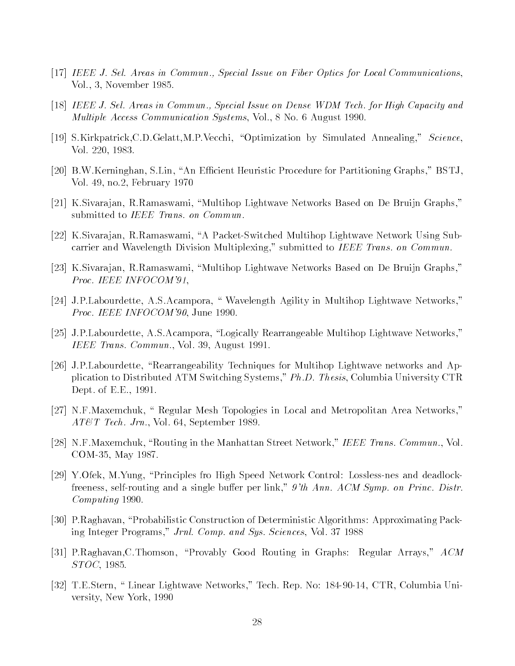- IEEE J Sel Areas in Commun Special Issue on Fiber Optics for Local Communications  $Vol., 3, November 1985.$
- [18] IEEE J. Sel. Areas in Commun., Special Issue on Dense WDM Tech. for High Capacity and *Multiple Access Communication Systems,* Vol., 8 No. 6 August 1990.
- [19] S.Kirkpatrick, C.D. Gelatt, M.P. Vecchi, "Optimization by Simulated Annealing," Science, Vol. 220, 1983.
- [20] B.W.Kerninghan, S.Lin, "An Efficient Heuristic Procedure for Partitioning Graphs," BSTJ, Vol no February
- [21] K.Sivarajan, R.Ramaswami, "Multihop Lightwave Networks Based on De Bruijn Graphs," submitted to IEEE Trans. on Commun.
- [22] K.Sivarajan, R.Ramaswami, "A Packet-Switched Multihop Lightwave Network Using Subcarrier and Wavelength Division Multiplexing," submitted to IEEE Trans. on Commun.
- [23] K.Sivarajan, R.Ramaswami, "Multihop Lightwave Networks Based on De Bruijn Graphs," Proc. IEEE INFOCOM'91,
- [24] J.P.Labourdette, A.S.Acampora, "Wavelength Agility in Multihop Lightwave Networks," Proc. IEEE INFOCOM'90, June 1990.
- [25] J.P.Labourdette, A.S.Acampora, "Logically Rearrangeable Multihop Lightwave Networks," IEEE Trans. Commun., Vol. 39, August 1991.
- [26] J.P.Labourdette, "Rearrangeability Techniques for Multihop Lightwave networks and Application to Distributed ATM Switching Systems," Ph.D. Thesis, Columbia University CTR Dept. of E.E.,  $1991$ .
- NFMaxemchuk Regular Mesh Topologies in Local and Metropolitan Area Networks  $AT\&T$  Tech. Jrn., Vol. 64, September 1989.
- [28] N.F.Maxemchuk, "Routing in the Manhattan Street Network," IEEE Trans. Commun., Vol. COM-35, May 1987.
- [29] Y.Ofek, M.Yung, "Principles fro High Speed Network Control: Lossless-nes and deadlockfreeness, self-routing and a single buffer per link,"  $9'th Ann. ACM Symp. on Princ. Distr.$ Computing 1990.
- [30] P.Raghavan, "Probabilistic Construction of Deterministic Algorithms: Approximating Packing Integer Programs Jrnl Comp and Sys Sciences Vol
- [31] P.Raghavan, C.Thomson, "Provably Good Routing in Graphs: Regular Arrays,"  $ACM$ STOC, 1985.
- [32] T.E.Stern, "Linear Lightwave Networks," Tech. Rep. No: 184-90-14, CTR, Columbia University, New York, 1990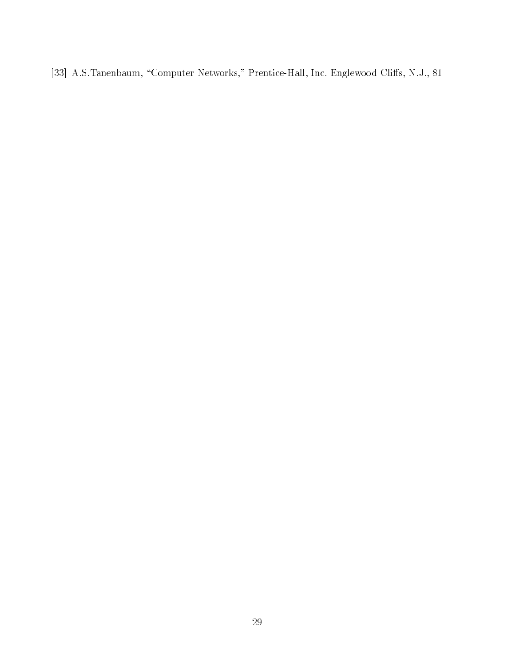[33] A.S.Tanenbaum, "Computer Networks," Prentice-Hall, Inc. Englewood Cliffs, N.J., 81